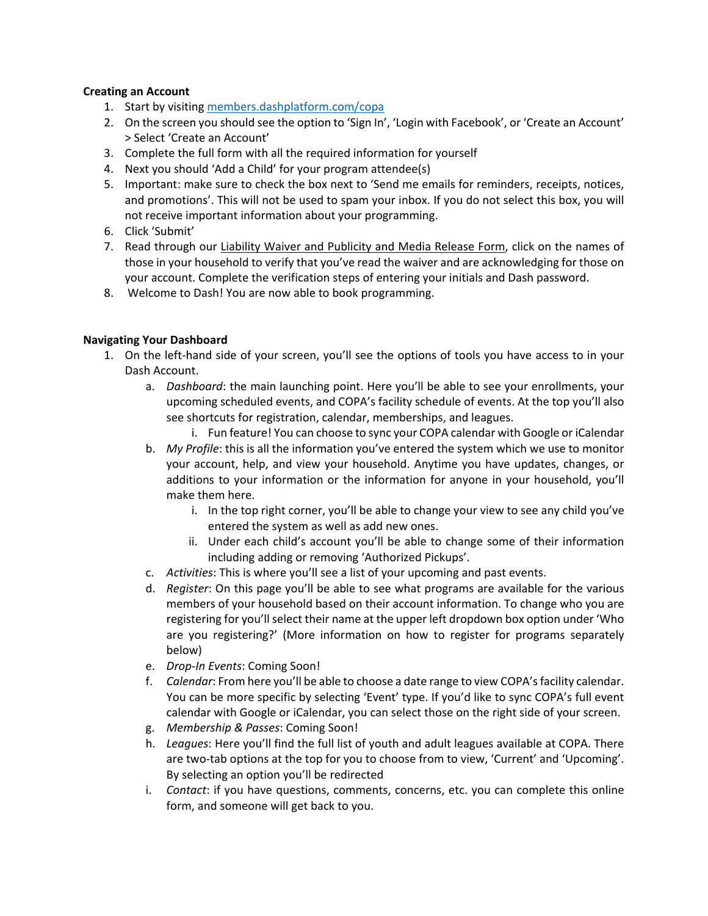## **Creating an Account**

- 1. Start by visiting [members.dashplatform.com/copa](https://member.dashplatform.com/#/online/copa/login?noAutoLogin=1)
- 2. On the screen you should see the option to 'Sign In', 'Login with Facebook', or 'Create an Account' > Select 'Create an Account'
- 3. Complete the full form with all the required information for yourself
- 4. Next you should 'Add a Child' for your program attendee(s)
- 5. Important: make sure to check the box next to 'Send me emails for reminders, receipts, notices, and promotions'. This will not be used to spam your inbox. If you do not select this box, you will not receive important information about your programming.
- 6. Click 'Submit'
- 7. Read through our Liability Waiver and Publicity and Media Release Form, click on the names of those in your household to verify that you've read the waiver and are acknowledging for those on your account. Complete the verification steps of entering your initials and Dash password.
- 8. Welcome to Dash! You are now able to book programming.

## **Navigating Your Dashboard**

- 1. On the left-hand side of your screen, you'll see the options of tools you have access to in your Dash Account.
	- a. *Dashboard*: the main launching point. Here you'll be able to see your enrollments, your upcoming scheduled events, and COPA's facility schedule of events. At the top you'll also see shortcuts for registration, calendar, memberships, and leagues.
		- i. Fun feature! You can choose to sync your COPA calendar with Google or iCalendar
	- b. *My Profile*: this is all the information you've entered the system which we use to monitor your account, help, and view your household. Anytime you have updates, changes, or additions to your information or the information for anyone in your household, you'll make them here.
		- i. In the top right corner, you'll be able to change your view to see any child you've entered the system as well as add new ones.
		- ii. Under each child's account you'll be able to change some of their information including adding or removing 'Authorized Pickups'.
	- c. *Activities*: This is where you'll see a list of your upcoming and past events.
	- d. *Register*: On this page you'll be able to see what programs are available for the various members of your household based on their account information. To change who you are registering for you'll select their name at the upper left dropdown box option under 'Who are you registering?' (More information on how to register for programs separately below)
	- e. *Drop-In Events*: Coming Soon!
	- f. *Calendar*: From here you'll be able to choose a date range to view COPA's facility calendar. You can be more specific by selecting 'Event' type. If you'd like to sync COPA's full event calendar with Google or iCalendar, you can select those on the right side of your screen.
	- g. *Membership & Passes*: Coming Soon!
	- h. *Leagues*: Here you'll find the full list of youth and adult leagues available at COPA. There are two-tab options at the top for you to choose from to view, 'Current' and 'Upcoming'. By selecting an option you'll be redirected
	- i. *Contact*: if you have questions, comments, concerns, etc. you can complete this online form, and someone will get back to you.